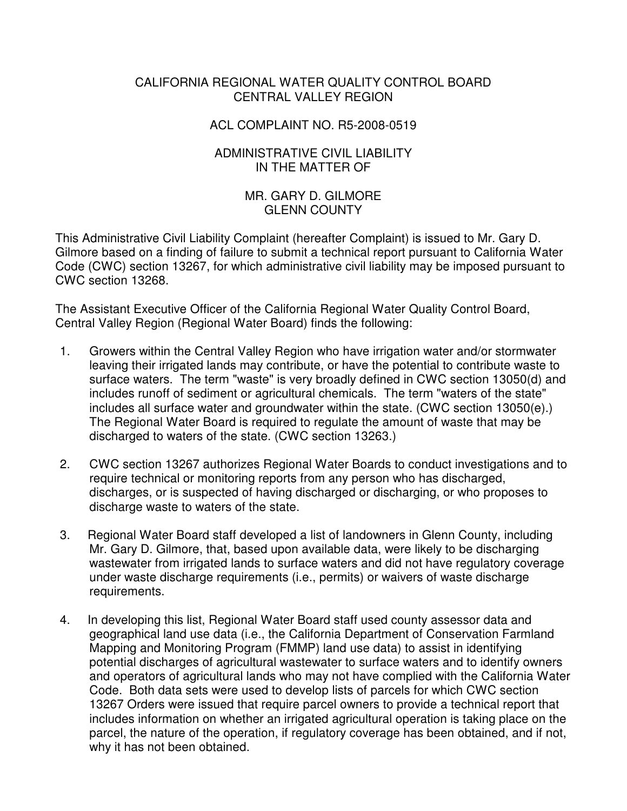### CALIFORNIA REGIONAL WATER QUALITY CONTROL BOARD CENTRAL VALLEY REGION

#### ACL COMPLAINT NO. R5-2008-0519

#### ADMINISTRATIVE CIVIL LIABILITY IN THE MATTER OF

## MR. GARY D. GILMORE GLENN COUNTY

This Administrative Civil Liability Complaint (hereafter Complaint) is issued to Mr. Gary D. Gilmore based on a finding of failure to submit a technical report pursuant to California Water Code (CWC) section 13267, for which administrative civil liability may be imposed pursuant to CWC section 13268.

The Assistant Executive Officer of the California Regional Water Quality Control Board, Central Valley Region (Regional Water Board) finds the following:

- 1. Growers within the Central Valley Region who have irrigation water and/or stormwater leaving their irrigated lands may contribute, or have the potential to contribute waste to surface waters. The term "waste" is very broadly defined in CWC section 13050(d) and includes runoff of sediment or agricultural chemicals. The term "waters of the state" includes all surface water and groundwater within the state. (CWC section 13050(e).) The Regional Water Board is required to regulate the amount of waste that may be discharged to waters of the state. (CWC section 13263.)
- 2. CWC section 13267 authorizes Regional Water Boards to conduct investigations and to require technical or monitoring reports from any person who has discharged, discharges, or is suspected of having discharged or discharging, or who proposes to discharge waste to waters of the state.
- 3. Regional Water Board staff developed a list of landowners in Glenn County, including Mr. Gary D. Gilmore, that, based upon available data, were likely to be discharging wastewater from irrigated lands to surface waters and did not have regulatory coverage under waste discharge requirements (i.e., permits) or waivers of waste discharge requirements.
- 4. In developing this list, Regional Water Board staff used county assessor data and geographical land use data (i.e., the California Department of Conservation Farmland Mapping and Monitoring Program (FMMP) land use data) to assist in identifying potential discharges of agricultural wastewater to surface waters and to identify owners and operators of agricultural lands who may not have complied with the California Water Code. Both data sets were used to develop lists of parcels for which CWC section 13267 Orders were issued that require parcel owners to provide a technical report that includes information on whether an irrigated agricultural operation is taking place on the parcel, the nature of the operation, if regulatory coverage has been obtained, and if not, why it has not been obtained.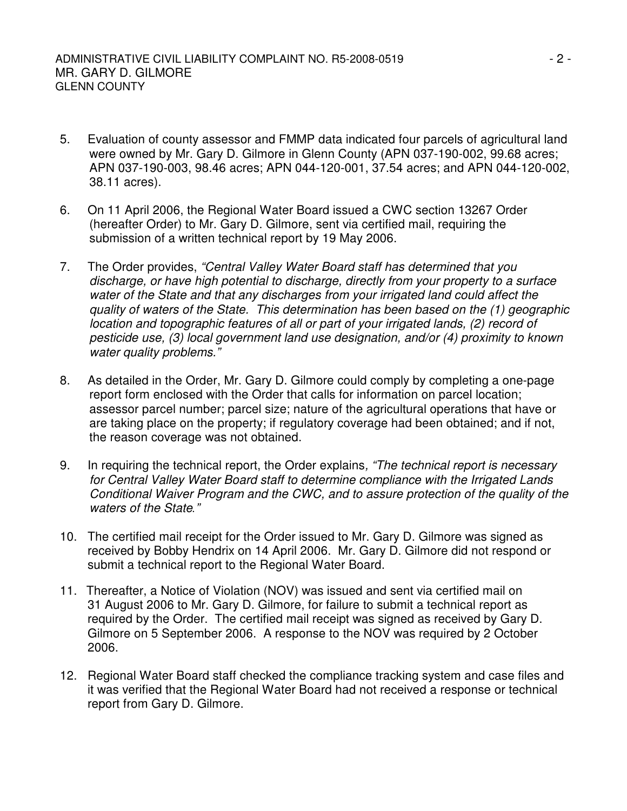- 5. Evaluation of county assessor and FMMP data indicated four parcels of agricultural land were owned by Mr. Gary D. Gilmore in Glenn County (APN 037-190-002, 99.68 acres; APN 037-190-003, 98.46 acres; APN 044-120-001, 37.54 acres; and APN 044-120-002, 38.11 acres).
- 6. On 11 April 2006, the Regional Water Board issued a CWC section 13267 Order (hereafter Order) to Mr. Gary D. Gilmore, sent via certified mail, requiring the submission of a written technical report by 19 May 2006.
- 7. The Order provides, *"Central Valley Water Board staff has determined that you discharge, or have high potential to discharge, directly from your property to a surface water of the State and that any discharges from your irrigated land could affect the quality of waters of the State. This determination has been based on the (1) geographic location and topographic features of all or part of your irrigated lands, (2) record of pesticide use, (3) local government land use designation, and/or (4) proximity to known water quality problems."*
- 8. As detailed in the Order, Mr. Gary D. Gilmore could comply by completing a one-page report form enclosed with the Order that calls for information on parcel location; assessor parcel number; parcel size; nature of the agricultural operations that have or are taking place on the property; if regulatory coverage had been obtained; and if not, the reason coverage was not obtained.
- 9. In requiring the technical report, the Order explains*, "The technical report is necessary for Central Valley Water Board staff to determine compliance with the Irrigated Lands Conditional Waiver Program and the CWC, and to assure protection of the quality of the waters of the State."*
- 10. The certified mail receipt for the Order issued to Mr. Gary D. Gilmore was signed as received by Bobby Hendrix on 14 April 2006. Mr. Gary D. Gilmore did not respond or submit a technical report to the Regional Water Board.
- 11. Thereafter, a Notice of Violation (NOV) was issued and sent via certified mail on 31 August 2006 to Mr. Gary D. Gilmore, for failure to submit a technical report as required by the Order. The certified mail receipt was signed as received by Gary D. Gilmore on 5 September 2006. A response to the NOV was required by 2 October 2006.
- 12. Regional Water Board staff checked the compliance tracking system and case files and it was verified that the Regional Water Board had not received a response or technical report from Gary D. Gilmore.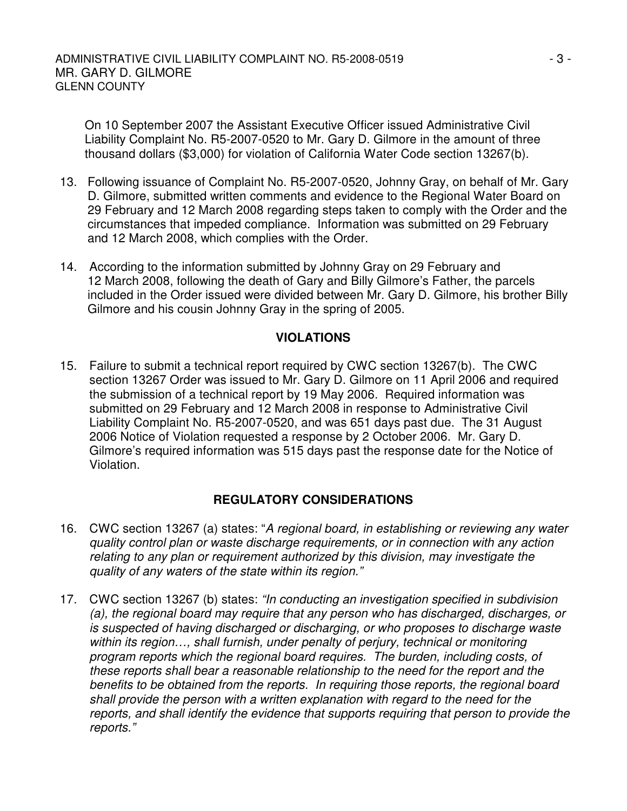On 10 September 2007 the Assistant Executive Officer issued Administrative Civil Liability Complaint No. R5-2007-0520 to Mr. Gary D. Gilmore in the amount of three thousand dollars (\$3,000) for violation of California Water Code section 13267(b).

- 13. Following issuance of Complaint No. R5-2007-0520, Johnny Gray, on behalf of Mr. Gary D. Gilmore, submitted written comments and evidence to the Regional Water Board on 29 February and 12 March 2008 regarding steps taken to comply with the Order and the circumstances that impeded compliance. Information was submitted on 29 February and 12 March 2008, which complies with the Order.
- 14. According to the information submitted by Johnny Gray on 29 February and 12 March 2008, following the death of Gary and Billy Gilmore's Father, the parcels included in the Order issued were divided between Mr. Gary D. Gilmore, his brother Billy Gilmore and his cousin Johnny Gray in the spring of 2005.

## **VIOLATIONS**

15. Failure to submit a technical report required by CWC section 13267(b). The CWC section 13267 Order was issued to Mr. Gary D. Gilmore on 11 April 2006 and required the submission of a technical report by 19 May 2006. Required information was submitted on 29 February and 12 March 2008 in response to Administrative Civil Liability Complaint No. R5-2007-0520, and was 651 days past due. The 31 August 2006 Notice of Violation requested a response by 2 October 2006. Mr. Gary D. Gilmore's required information was 515 days past the response date for the Notice of Violation.

# **REGULATORY CONSIDERATIONS**

- 16. CWC section 13267 (a) states: "*A regional board, in establishing or reviewing any water quality control plan or waste discharge requirements, or in connection with any action relating to any plan or requirement authorized by this division, may investigate the quality of any waters of the state within its region."*
- 17. CWC section 13267 (b) states: *"In conducting an investigation specified in subdivision (a), the regional board may require that any person who has discharged, discharges, or is suspected of having discharged or discharging, or who proposes to discharge waste within its region…, shall furnish, under penalty of perjury, technical or monitoring program reports which the regional board requires. The burden, including costs, of these reports shall bear a reasonable relationship to the need for the report and the benefits to be obtained from the reports. In requiring those reports, the regional board shall provide the person with a written explanation with regard to the need for the reports, and shall identify the evidence that supports requiring that person to provide the reports."*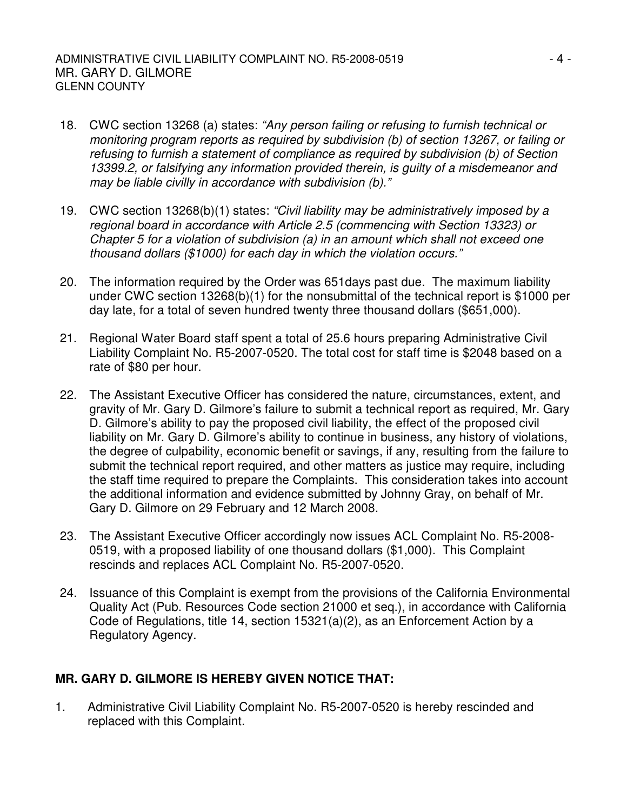#### ADMINISTRATIVE CIVIL LIABILITY COMPLAINT NO. R5-2008-0519  $-4$  -MR. GARY D. GILMORE GLENN COUNTY

- 18. CWC section 13268 (a) states: *"Any person failing or refusing to furnish technical or monitoring program reports as required by subdivision (b) of section 13267, or failing or refusing to furnish a statement of compliance as required by subdivision (b) of Section 13399.2, or falsifying any information provided therein, is guilty of a misdemeanor and may be liable civilly in accordance with subdivision (b)."*
- 19. CWC section 13268(b)(1) states: *"Civil liability may be administratively imposed by a regional board in accordance with Article 2.5 (commencing with Section 13323) or Chapter 5 for a violation of subdivision (a) in an amount which shall not exceed one thousand dollars (\$1000) for each day in which the violation occurs."*
- 20. The information required by the Order was 651days past due. The maximum liability under CWC section 13268(b)(1) for the nonsubmittal of the technical report is \$1000 per day late, for a total of seven hundred twenty three thousand dollars (\$651,000).
- 21. Regional Water Board staff spent a total of 25.6 hours preparing Administrative Civil Liability Complaint No. R5-2007-0520. The total cost for staff time is \$2048 based on a rate of \$80 per hour.
- 22. The Assistant Executive Officer has considered the nature, circumstances, extent, and gravity of Mr. Gary D. Gilmore's failure to submit a technical report as required, Mr. Gary D. Gilmore's ability to pay the proposed civil liability, the effect of the proposed civil liability on Mr. Gary D. Gilmore's ability to continue in business, any history of violations, the degree of culpability, economic benefit or savings, if any, resulting from the failure to submit the technical report required, and other matters as justice may require, including the staff time required to prepare the Complaints. This consideration takes into account the additional information and evidence submitted by Johnny Gray, on behalf of Mr. Gary D. Gilmore on 29 February and 12 March 2008.
- 23. The Assistant Executive Officer accordingly now issues ACL Complaint No. R5-2008- 0519, with a proposed liability of one thousand dollars (\$1,000). This Complaint rescinds and replaces ACL Complaint No. R5-2007-0520.
- 24. Issuance of this Complaint is exempt from the provisions of the California Environmental Quality Act (Pub. Resources Code section 21000 et seq.), in accordance with California Code of Regulations, title 14, section 15321(a)(2), as an Enforcement Action by a Regulatory Agency.

# **MR. GARY D. GILMORE IS HEREBY GIVEN NOTICE THAT:**

1. Administrative Civil Liability Complaint No. R5-2007-0520 is hereby rescinded and replaced with this Complaint.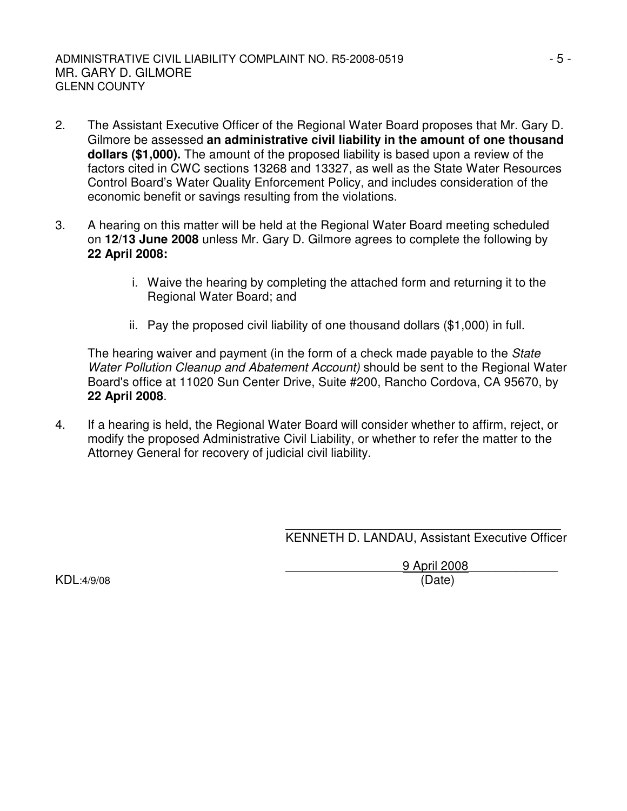- 2. The Assistant Executive Officer of the Regional Water Board proposes that Mr. Gary D. Gilmore be assessed **an administrative civil liability in the amount of one thousand dollars (\$1,000).** The amount of the proposed liability is based upon a review of the factors cited in CWC sections 13268 and 13327, as well as the State Water Resources Control Board's Water Quality Enforcement Policy, and includes consideration of the economic benefit or savings resulting from the violations.
- 3. A hearing on this matter will be held at the Regional Water Board meeting scheduled on **12/13 June 2008** unless Mr. Gary D. Gilmore agrees to complete the following by **22 April 2008:**
	- i. Waive the hearing by completing the attached form and returning it to the Regional Water Board; and
	- ii. Pay the proposed civil liability of one thousand dollars (\$1,000) in full.

The hearing waiver and payment (in the form of a check made payable to the *State Water Pollution Cleanup and Abatement Account)* should be sent to the Regional Water Board's office at 11020 Sun Center Drive, Suite #200, Rancho Cordova, CA 95670, by **22 April 2008**.

4. If a hearing is held, the Regional Water Board will consider whether to affirm, reject, or modify the proposed Administrative Civil Liability, or whether to refer the matter to the Attorney General for recovery of judicial civil liability.

> \_\_\_\_\_\_\_\_\_\_\_\_\_\_\_\_\_\_\_\_\_\_\_\_\_\_\_\_\_\_\_\_\_\_\_\_\_\_\_\_ KENNETH D. LANDAU, Assistant Executive Officer

\_\_\_\_\_\_\_\_\_\_\_\_\_\_\_\_\_9 April 2008\_\_\_\_\_\_\_\_\_\_\_\_\_ KDL:4/9/08 (Date)